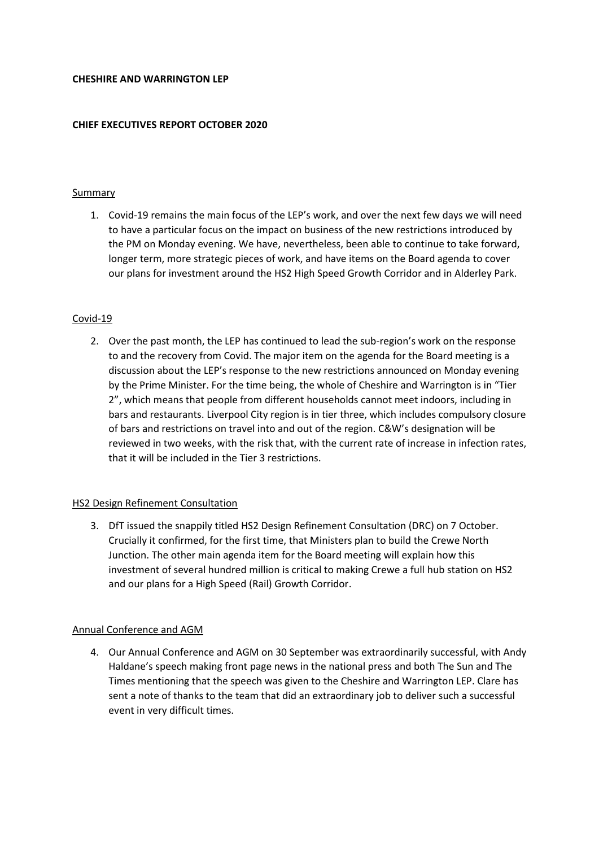#### **CHESHIRE AND WARRINGTON LEP**

### **CHIEF EXECUTIVES REPORT OCTOBER 2020**

### **Summary**

1. Covid-19 remains the main focus of the LEP's work, and over the next few days we will need to have a particular focus on the impact on business of the new restrictions introduced by the PM on Monday evening. We have, nevertheless, been able to continue to take forward, longer term, more strategic pieces of work, and have items on the Board agenda to cover our plans for investment around the HS2 High Speed Growth Corridor and in Alderley Park.

# Covid-19

2. Over the past month, the LEP has continued to lead the sub-region's work on the response to and the recovery from Covid. The major item on the agenda for the Board meeting is a discussion about the LEP's response to the new restrictions announced on Monday evening by the Prime Minister. For the time being, the whole of Cheshire and Warrington is in "Tier 2", which means that people from different households cannot meet indoors, including in bars and restaurants. Liverpool City region is in tier three, which includes compulsory closure of bars and restrictions on travel into and out of the region. C&W's designation will be reviewed in two weeks, with the risk that, with the current rate of increase in infection rates, that it will be included in the Tier 3 restrictions.

### HS2 Design Refinement Consultation

3. DfT issued the snappily titled HS2 Design Refinement Consultation (DRC) on 7 October. Crucially it confirmed, for the first time, that Ministers plan to build the Crewe North Junction. The other main agenda item for the Board meeting will explain how this investment of several hundred million is critical to making Crewe a full hub station on HS2 and our plans for a High Speed (Rail) Growth Corridor.

### Annual Conference and AGM

4. Our Annual Conference and AGM on 30 September was extraordinarily successful, with Andy Haldane's speech making front page news in the national press and both The Sun and The Times mentioning that the speech was given to the Cheshire and Warrington LEP. Clare has sent a note of thanks to the team that did an extraordinary job to deliver such a successful event in very difficult times.